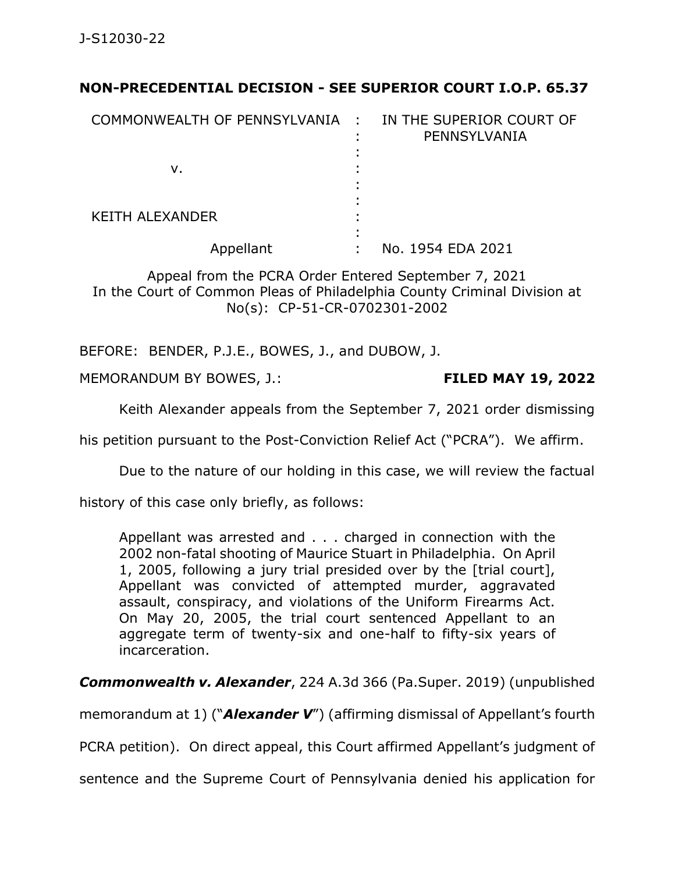## **NON-PRECEDENTIAL DECISION - SEE SUPERIOR COURT I.O.P. 65.37**

| COMMONWEALTH OF PENNSYLVANIA : | ٠ | IN THE SUPERIOR COURT OF<br>PENNSYLVANIA |
|--------------------------------|---|------------------------------------------|
|                                |   |                                          |
| ν.                             |   |                                          |
|                                |   |                                          |
|                                |   |                                          |
| <b>KEITH ALEXANDER</b>         |   |                                          |
|                                |   |                                          |
| Appellant                      |   | No. 1954 EDA 2021                        |

Appeal from the PCRA Order Entered September 7, 2021 In the Court of Common Pleas of Philadelphia County Criminal Division at No(s): CP-51-CR-0702301-2002

BEFORE: BENDER, P.J.E., BOWES, J., and DUBOW, J.

MEMORANDUM BY BOWES, J.: **FILED MAY 19, 2022**

Keith Alexander appeals from the September 7, 2021 order dismissing

his petition pursuant to the Post-Conviction Relief Act ("PCRA"). We affirm.

Due to the nature of our holding in this case, we will review the factual

history of this case only briefly, as follows:

Appellant was arrested and . . . charged in connection with the 2002 non-fatal shooting of Maurice Stuart in Philadelphia. On April 1, 2005, following a jury trial presided over by the [trial court], Appellant was convicted of attempted murder, aggravated assault, conspiracy, and violations of the Uniform Firearms Act. On May 20, 2005, the trial court sentenced Appellant to an aggregate term of twenty-six and one-half to fifty-six years of incarceration.

*Commonwealth v. Alexander*, 224 A.3d 366 (Pa.Super. 2019) (unpublished

memorandum at 1) ("*Alexander V*") (affirming dismissal of Appellant's fourth

PCRA petition). On direct appeal, this Court affirmed Appellant's judgment of

sentence and the Supreme Court of Pennsylvania denied his application for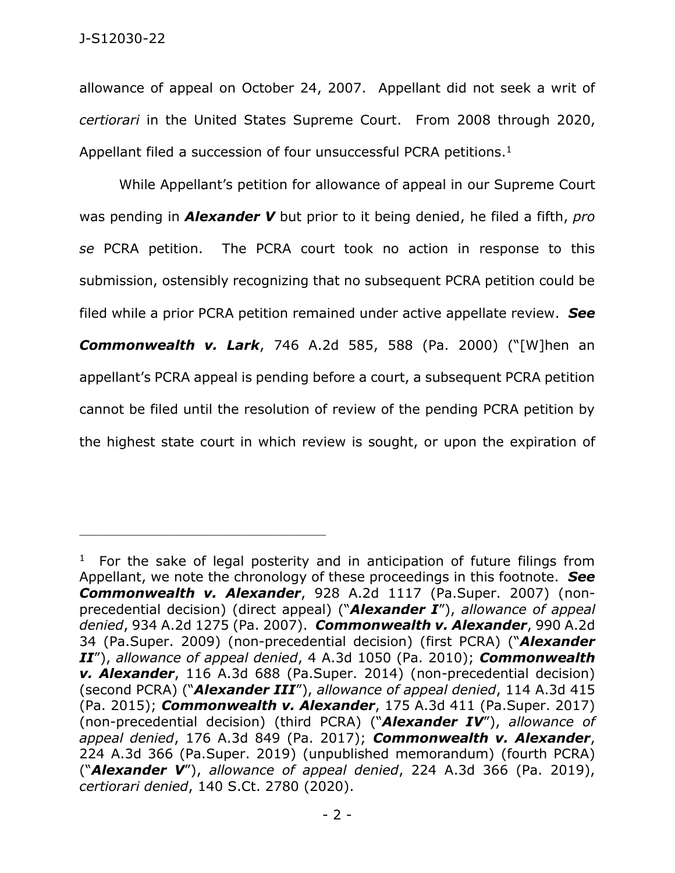allowance of appeal on October 24, 2007. Appellant did not seek a writ of *certiorari* in the United States Supreme Court. From 2008 through 2020, Appellant filed a succession of four unsuccessful PCRA petitions. $1$ 

While Appellant's petition for allowance of appeal in our Supreme Court was pending in *Alexander V* but prior to it being denied, he filed a fifth, *pro se* PCRA petition. The PCRA court took no action in response to this submission, ostensibly recognizing that no subsequent PCRA petition could be filed while a prior PCRA petition remained under active appellate review. *See Commonwealth v. Lark*, 746 A.2d 585, 588 (Pa. 2000) ("[W]hen an appellant's PCRA appeal is pending before a court, a subsequent PCRA petition cannot be filed until the resolution of review of the pending PCRA petition by the highest state court in which review is sought, or upon the expiration of

\_\_\_\_\_\_\_\_\_\_\_\_\_\_\_\_\_\_\_\_\_\_\_\_\_\_\_\_\_\_\_\_\_\_\_\_\_\_\_\_\_\_\_\_

<sup>&</sup>lt;sup>1</sup> For the sake of legal posterity and in anticipation of future filings from Appellant, we note the chronology of these proceedings in this footnote. *See Commonwealth v. Alexander*, 928 A.2d 1117 (Pa.Super. 2007) (nonprecedential decision) (direct appeal) ("*Alexander I*"), *allowance of appeal denied*, 934 A.2d 1275 (Pa. 2007). *Commonwealth v. Alexander*, 990 A.2d 34 (Pa.Super. 2009) (non-precedential decision) (first PCRA) ("*Alexander II*"), *allowance of appeal denied*, 4 A.3d 1050 (Pa. 2010); *Commonwealth v. Alexander*, 116 A.3d 688 (Pa.Super. 2014) (non-precedential decision) (second PCRA) ("*Alexander III*"), *allowance of appeal denied*, 114 A.3d 415 (Pa. 2015); *Commonwealth v. Alexander*, 175 A.3d 411 (Pa.Super. 2017) (non-precedential decision) (third PCRA) ("*Alexander IV*"), *allowance of appeal denied*, 176 A.3d 849 (Pa. 2017); *Commonwealth v. Alexander*, 224 A.3d 366 (Pa.Super. 2019) (unpublished memorandum) (fourth PCRA) ("*Alexander V*"), *allowance of appeal denied*, 224 A.3d 366 (Pa. 2019), *certiorari denied*, 140 S.Ct. 2780 (2020).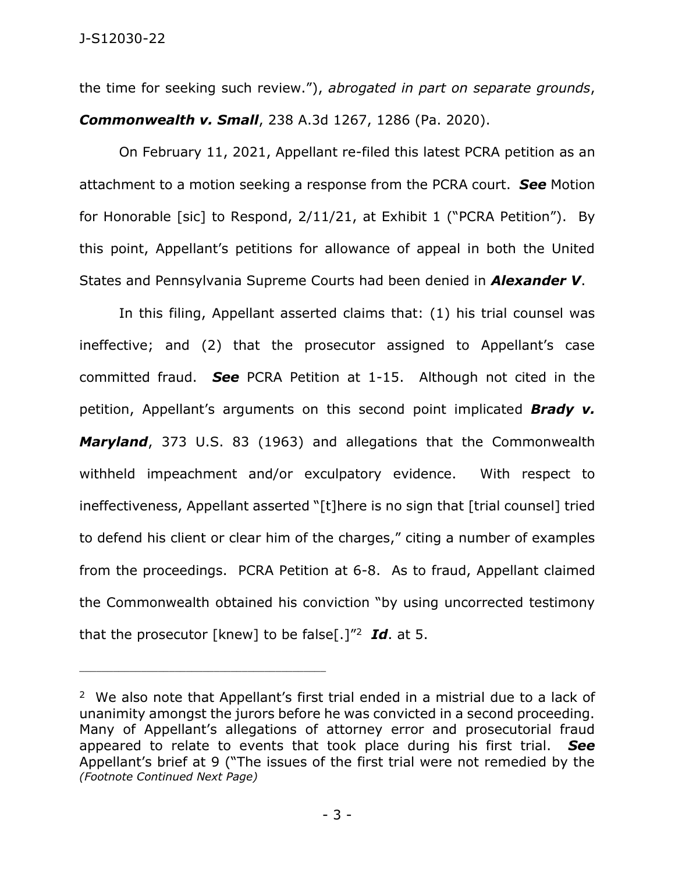the time for seeking such review."), *abrogated in part on separate grounds*, *Commonwealth v. Small*, 238 A.3d 1267, 1286 (Pa. 2020).

On February 11, 2021, Appellant re-filed this latest PCRA petition as an attachment to a motion seeking a response from the PCRA court. *See* Motion for Honorable [sic] to Respond, 2/11/21, at Exhibit 1 ("PCRA Petition"). By this point, Appellant's petitions for allowance of appeal in both the United States and Pennsylvania Supreme Courts had been denied in *Alexander V*.

In this filing, Appellant asserted claims that: (1) his trial counsel was ineffective; and (2) that the prosecutor assigned to Appellant's case committed fraud. *See* PCRA Petition at 1-15. Although not cited in the petition, Appellant's arguments on this second point implicated *Brady v. Maryland*, 373 U.S. 83 (1963) and allegations that the Commonwealth withheld impeachment and/or exculpatory evidence. With respect to ineffectiveness, Appellant asserted "[t]here is no sign that [trial counsel] tried to defend his client or clear him of the charges," citing a number of examples from the proceedings. PCRA Petition at 6-8. As to fraud, Appellant claimed the Commonwealth obtained his conviction "by using uncorrected testimony that the prosecutor [knew] to be false[.]"<sup>2</sup> *Id*. at 5.

\_\_\_\_\_\_\_\_\_\_\_\_\_\_\_\_\_\_\_\_\_\_\_\_\_\_\_\_\_\_\_\_\_\_\_\_\_\_\_\_\_\_\_\_

<sup>&</sup>lt;sup>2</sup> We also note that Appellant's first trial ended in a mistrial due to a lack of unanimity amongst the jurors before he was convicted in a second proceeding. Many of Appellant's allegations of attorney error and prosecutorial fraud appeared to relate to events that took place during his first trial. *See*  Appellant's brief at 9 ("The issues of the first trial were not remedied by the *(Footnote Continued Next Page)*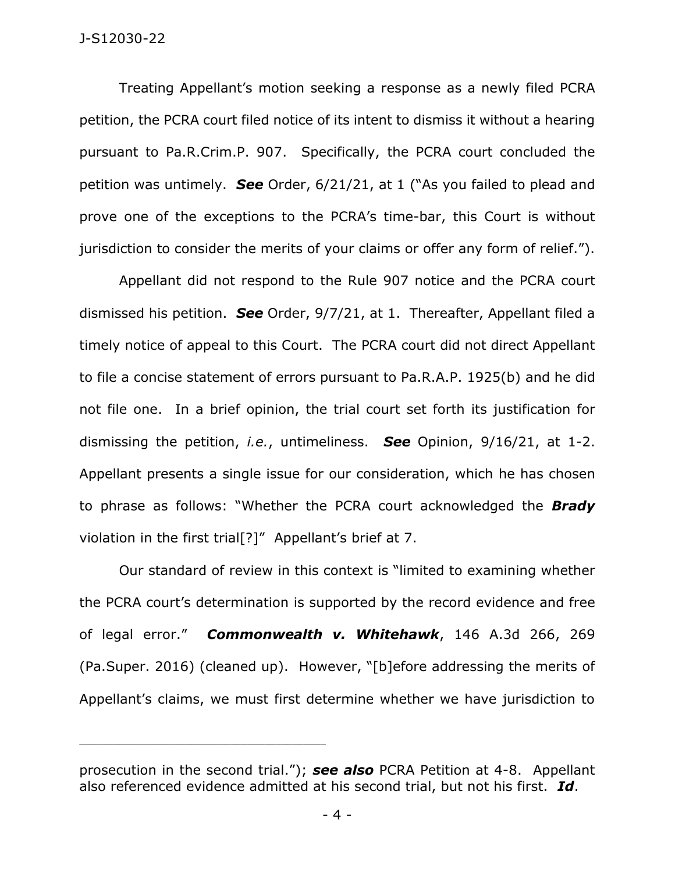## J-S12030-22

Treating Appellant's motion seeking a response as a newly filed PCRA petition, the PCRA court filed notice of its intent to dismiss it without a hearing pursuant to Pa.R.Crim.P. 907. Specifically, the PCRA court concluded the petition was untimely. *See* Order, 6/21/21, at 1 ("As you failed to plead and prove one of the exceptions to the PCRA's time-bar, this Court is without jurisdiction to consider the merits of your claims or offer any form of relief.").

Appellant did not respond to the Rule 907 notice and the PCRA court dismissed his petition. *See* Order, 9/7/21, at 1. Thereafter, Appellant filed a timely notice of appeal to this Court. The PCRA court did not direct Appellant to file a concise statement of errors pursuant to Pa.R.A.P. 1925(b) and he did not file one. In a brief opinion, the trial court set forth its justification for dismissing the petition, *i.e.*, untimeliness. *See* Opinion, 9/16/21, at 1-2. Appellant presents a single issue for our consideration, which he has chosen to phrase as follows: "Whether the PCRA court acknowledged the *Brady* violation in the first trial[?]" Appellant's brief at 7.

Our standard of review in this context is "limited to examining whether the PCRA court's determination is supported by the record evidence and free of legal error." *Commonwealth v. Whitehawk*, 146 A.3d 266, 269 (Pa.Super. 2016) (cleaned up). However, "[b]efore addressing the merits of Appellant's claims, we must first determine whether we have jurisdiction to

\_\_\_\_\_\_\_\_\_\_\_\_\_\_\_\_\_\_\_\_\_\_\_\_\_\_\_\_\_\_\_\_\_\_\_\_\_\_\_\_\_\_\_\_

prosecution in the second trial."); *see also* PCRA Petition at 4-8. Appellant also referenced evidence admitted at his second trial, but not his first. *Id*.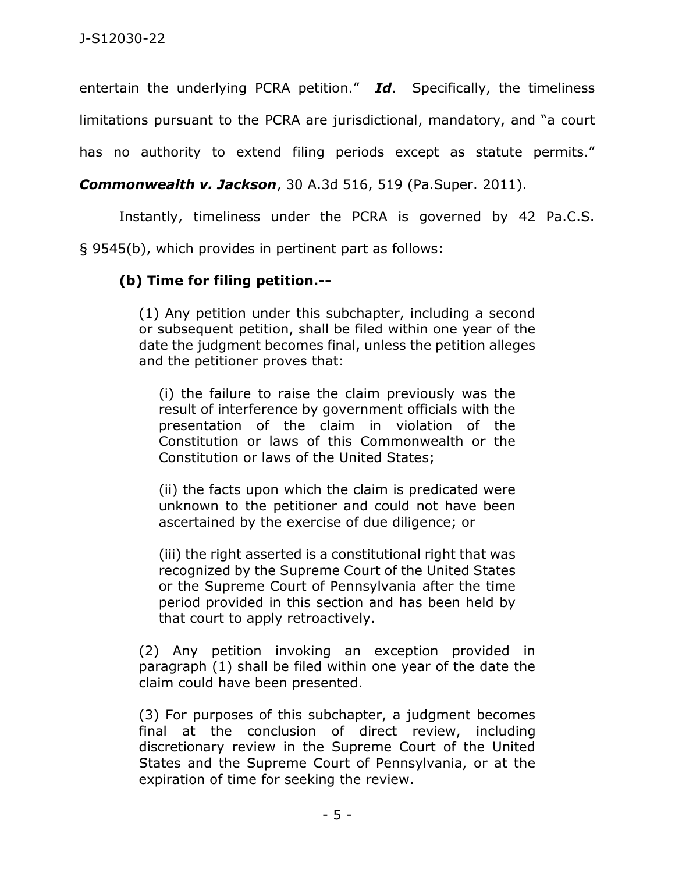entertain the underlying PCRA petition." *Id*. Specifically, the timeliness

limitations pursuant to the PCRA are jurisdictional, mandatory, and "a court

has no authority to extend filing periods except as statute permits."

*Commonwealth v. Jackson*, 30 A.3d 516, 519 (Pa.Super. 2011).

Instantly, timeliness under the PCRA is governed by 42 Pa.C.S.

§ 9545(b), which provides in pertinent part as follows:

## **(b) Time for filing petition.--**

(1) Any petition under this subchapter, including a second or subsequent petition, shall be filed within one year of the date the judgment becomes final, unless the petition alleges and the petitioner proves that:

(i) the failure to raise the claim previously was the result of interference by government officials with the presentation of the claim in violation of the Constitution or laws of this Commonwealth or the Constitution or laws of the United States;

(ii) the facts upon which the claim is predicated were unknown to the petitioner and could not have been ascertained by the exercise of due diligence; or

(iii) the right asserted is a constitutional right that was recognized by the Supreme Court of the United States or the Supreme Court of Pennsylvania after the time period provided in this section and has been held by that court to apply retroactively.

(2) Any petition invoking an exception provided in paragraph (1) shall be filed within one year of the date the claim could have been presented.

(3) For purposes of this subchapter, a judgment becomes final at the conclusion of direct review, including discretionary review in the Supreme Court of the United States and the Supreme Court of Pennsylvania, or at the expiration of time for seeking the review.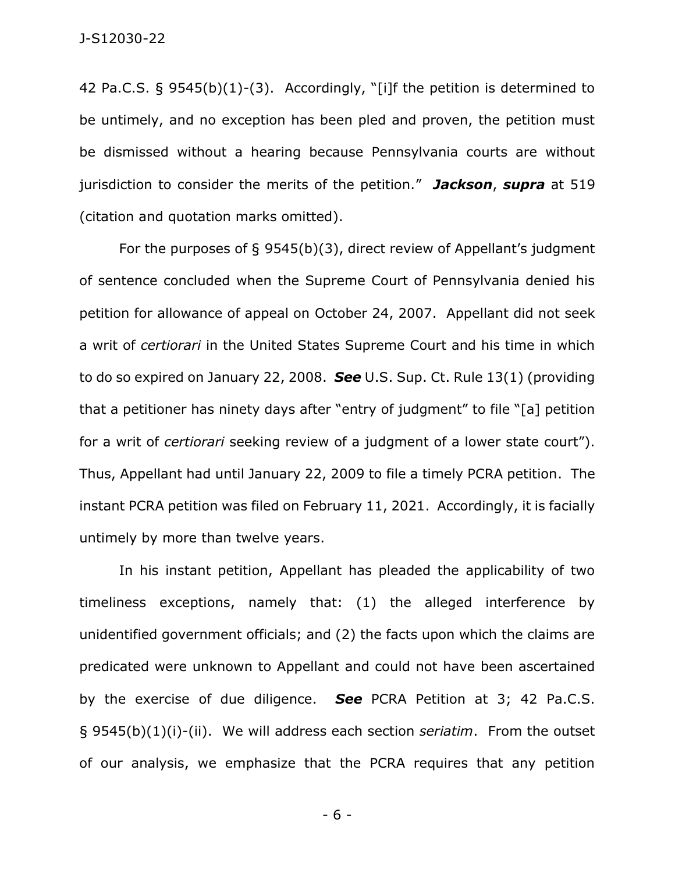42 Pa.C.S. § 9545(b)(1)-(3). Accordingly, "[i]f the petition is determined to be untimely, and no exception has been pled and proven, the petition must be dismissed without a hearing because Pennsylvania courts are without jurisdiction to consider the merits of the petition." *Jackson*, *supra* at 519 (citation and quotation marks omitted).

For the purposes of § 9545(b)(3), direct review of Appellant's judgment of sentence concluded when the Supreme Court of Pennsylvania denied his petition for allowance of appeal on October 24, 2007. Appellant did not seek a writ of *certiorari* in the United States Supreme Court and his time in which to do so expired on January 22, 2008. *See* U.S. Sup. Ct. Rule 13(1) (providing that a petitioner has ninety days after "entry of judgment" to file "[a] petition for a writ of *certiorari* seeking review of a judgment of a lower state court"). Thus, Appellant had until January 22, 2009 to file a timely PCRA petition. The instant PCRA petition was filed on February 11, 2021. Accordingly, it is facially untimely by more than twelve years.

In his instant petition, Appellant has pleaded the applicability of two timeliness exceptions, namely that: (1) the alleged interference by unidentified government officials; and (2) the facts upon which the claims are predicated were unknown to Appellant and could not have been ascertained by the exercise of due diligence. *See* PCRA Petition at 3; 42 Pa.C.S. § 9545(b)(1)(i)-(ii). We will address each section *seriatim*. From the outset of our analysis, we emphasize that the PCRA requires that any petition

- 6 -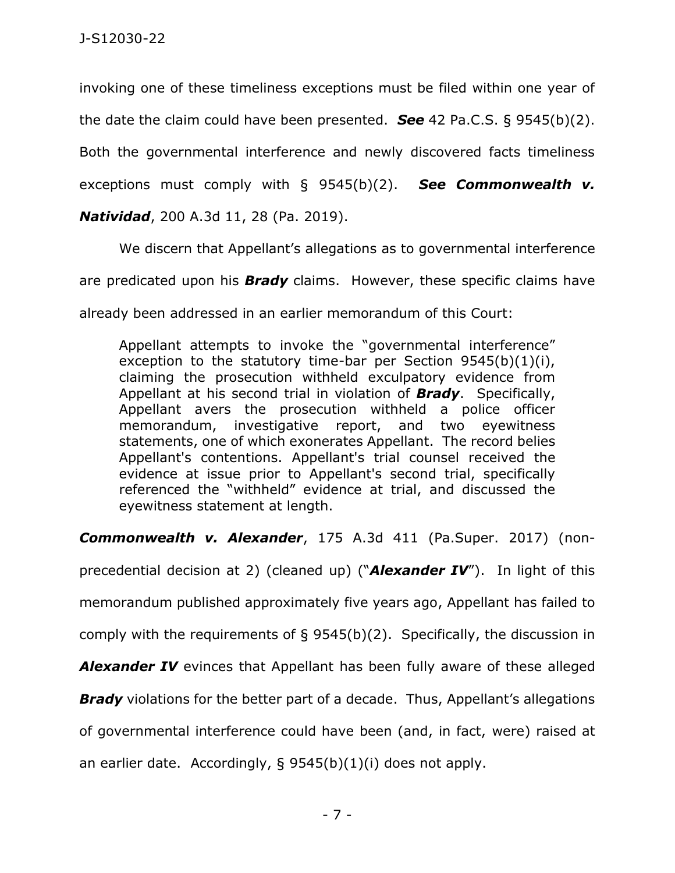invoking one of these timeliness exceptions must be filed within one year of the date the claim could have been presented. *See* 42 Pa.C.S. § 9545(b)(2). Both the governmental interference and newly discovered facts timeliness exceptions must comply with § 9545(b)(2). *See Commonwealth v.* 

*Natividad*, 200 A.3d 11, 28 (Pa. 2019).

We discern that Appellant's allegations as to governmental interference

are predicated upon his *Brady* claims. However, these specific claims have

already been addressed in an earlier memorandum of this Court:

Appellant attempts to invoke the "governmental interference" exception to the statutory time-bar per Section 9545(b)(1)(i), claiming the prosecution withheld exculpatory evidence from Appellant at his second trial in violation of *Brady*. Specifically, Appellant avers the prosecution withheld a police officer memorandum, investigative report, and two eyewitness statements, one of which exonerates Appellant. The record belies Appellant's contentions. Appellant's trial counsel received the evidence at issue prior to Appellant's second trial, specifically referenced the "withheld" evidence at trial, and discussed the eyewitness statement at length.

*Commonwealth v. Alexander*, 175 A.3d 411 (Pa.Super. 2017) (non-

precedential decision at 2) (cleaned up) ("*Alexander IV*"). In light of this memorandum published approximately five years ago, Appellant has failed to comply with the requirements of § 9545(b)(2). Specifically, the discussion in **Alexander IV** evinces that Appellant has been fully aware of these alleged

**Brady** violations for the better part of a decade. Thus, Appellant's allegations

of governmental interference could have been (and, in fact, were) raised at

an earlier date. Accordingly, § 9545(b)(1)(i) does not apply.